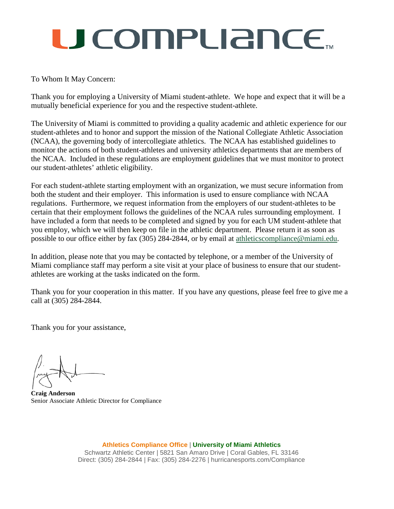## U COMPLIANCE.

### To Whom It May Concern:

Thank you for employing a University of Miami student-athlete. We hope and expect that it will be a mutually beneficial experience for you and the respective student-athlete.

The University of Miami is committed to providing a quality academic and athletic experience for our student-athletes and to honor and support the mission of the National Collegiate Athletic Association (NCAA), the governing body of intercollegiate athletics. The NCAA has established guidelines to monitor the actions of both student-athletes and university athletics departments that are members of the NCAA. Included in these regulations are employment guidelines that we must monitor to protect our student-athletes' athletic eligibility.

For each student-athlete starting employment with an organization, we must secure information from both the student and their employer. This information is used to ensure compliance with NCAA regulations. Furthermore, we request information from the employers of our student-athletes to be certain that their employment follows the guidelines of the NCAA rules surrounding employment. I have included a form that needs to be completed and signed by you for each UM student-athlete that you employ, which we will then keep on file in the athletic department. Please return it as soon as possible to our office either by fax (305) 284-2844, or by email at [athleticscompliance@miami.edu.](mailto:athleticscompliance@miami.edu)

In addition, please note that you may be contacted by telephone, or a member of the University of Miami compliance staff may perform a site visit at your place of business to ensure that our studentathletes are working at the tasks indicated on the form.

Thank you for your cooperation in this matter. If you have any questions, please feel free to give me a call at (305) 284-2844.

Thank you for your assistance,

**Craig Anderson** Senior Associate Athletic Director for Compliance

**Athletics Compliance Office** | **University of Miami Athletics** Schwartz Athletic Center | 5821 San Amaro Drive | Coral Gables, FL 33146 Direct: (305) 284-2844 | Fax: (305) 284-2276 | hurricanesports.com/Compliance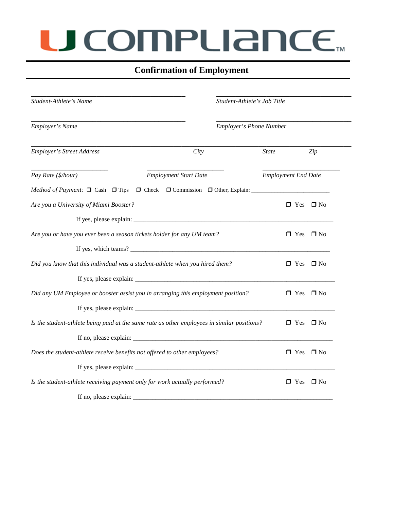## U COMPLIANCE.

## **Confirmation of Employment**

| Student-Athlete's Name<br>Employer's Name                                                   |                                                                                                                                                                                                                                                                                                    | Student-Athlete's Job Title<br><b>Employer's Phone Number</b> |                            |                      |
|---------------------------------------------------------------------------------------------|----------------------------------------------------------------------------------------------------------------------------------------------------------------------------------------------------------------------------------------------------------------------------------------------------|---------------------------------------------------------------|----------------------------|----------------------|
|                                                                                             |                                                                                                                                                                                                                                                                                                    |                                                               |                            |                      |
| Pay Rate (\$/hour)                                                                          | <b>Employment Start Date</b>                                                                                                                                                                                                                                                                       |                                                               | <b>Employment End Date</b> |                      |
|                                                                                             |                                                                                                                                                                                                                                                                                                    |                                                               |                            |                      |
| Are you a University of Miami Booster?                                                      |                                                                                                                                                                                                                                                                                                    |                                                               |                            | $\Box$ Yes $\Box$ No |
|                                                                                             |                                                                                                                                                                                                                                                                                                    |                                                               |                            |                      |
| Are you or have you ever been a season tickets holder for any UM team?                      |                                                                                                                                                                                                                                                                                                    |                                                               | $\Box$ Yes                 | $\Box$ No            |
|                                                                                             |                                                                                                                                                                                                                                                                                                    |                                                               |                            |                      |
| Did you know that this individual was a student-athlete when you hired them?                |                                                                                                                                                                                                                                                                                                    |                                                               |                            | $\Box$ Yes $\Box$ No |
|                                                                                             |                                                                                                                                                                                                                                                                                                    |                                                               |                            |                      |
| Did any UM Employee or booster assist you in arranging this employment position?            |                                                                                                                                                                                                                                                                                                    |                                                               | $\Box$ Yes                 | $\Box$ No            |
|                                                                                             |                                                                                                                                                                                                                                                                                                    |                                                               |                            |                      |
| Is the student-athlete being paid at the same rate as other employees in similar positions? |                                                                                                                                                                                                                                                                                                    |                                                               | $\Box$ Yes                 | $\Box$ No            |
|                                                                                             | If no, please explain: $\frac{1}{2}$ = $\frac{1}{2}$ = $\frac{1}{2}$ = $\frac{1}{2}$ = $\frac{1}{2}$ = $\frac{1}{2}$ = $\frac{1}{2}$ = $\frac{1}{2}$ = $\frac{1}{2}$ = $\frac{1}{2}$ = $\frac{1}{2}$ = $\frac{1}{2}$ = $\frac{1}{2}$ = $\frac{1}{2}$ = $\frac{1}{2}$ = $\frac{1}{2}$ = $\frac{1}{$ |                                                               |                            |                      |
| Does the student-athlete receive benefits not offered to other employees?                   |                                                                                                                                                                                                                                                                                                    |                                                               | $\Box$ Yes                 | $\Box$ No            |
|                                                                                             |                                                                                                                                                                                                                                                                                                    |                                                               |                            |                      |
| Is the student-athlete receiving payment only for work actually performed?                  |                                                                                                                                                                                                                                                                                                    |                                                               | $\Box$ Yes                 | $\square$ No         |
|                                                                                             |                                                                                                                                                                                                                                                                                                    |                                                               |                            |                      |